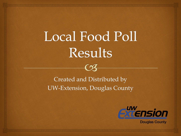## Local Food Poll Results



 $\epsilon$ 



**Douglas County**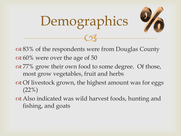

 83% of the respondents were from Douglas County  $\alpha$  60% were over the age of 50

 $C<sub>3</sub>$ 

Demographics

- or  $877\%$  grow their own food to some degree. Of those, most grow vegetables, fruit and herbs
- of livestock grown, the highest amount was for eggs  $(22\%)$
- Also indicated was wild harvest foods, hunting and fishing, and goats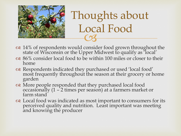

## $\overline{\text{C3}}$  Thoughts about Local Food

- or  $34%$  of respondents would consider food grown throughout the state of Wisconsin or the Upper Midwest to qualify as 'local'
- 86% consider local food to be within 100 miles or closer to their home
- Respondents indicated they purchased or used 'local food' most frequently throughout the season at their grocery or home garden
- More people responded that they purchased local food occasionally  $(1 - 2)$  times per season) at a farmers market or farm stand
- Local food was indicated as most important to consumers for its perceived quality and nutrition. Least important was meeting and knowing the producer